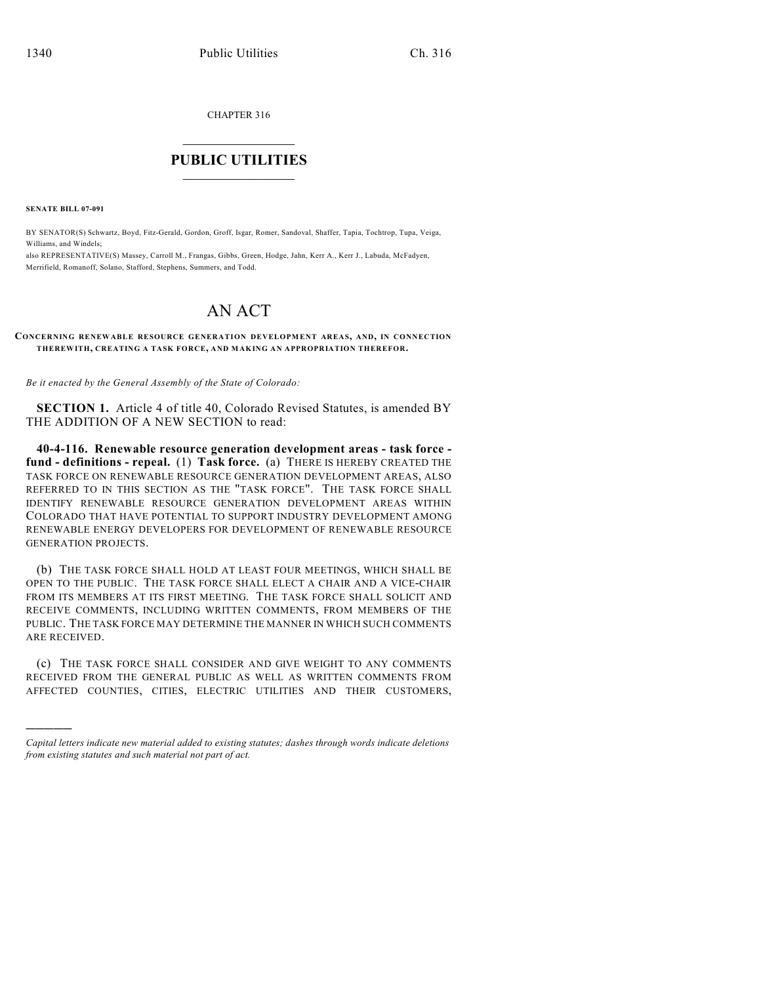CHAPTER 316

## $\overline{\phantom{a}}$  . The set of the set of the set of the set of the set of the set of the set of the set of the set of the set of the set of the set of the set of the set of the set of the set of the set of the set of the set o **PUBLIC UTILITIES** \_\_\_\_\_\_\_\_\_\_\_\_\_\_\_

**SENATE BILL 07-091**

)))))

BY SENATOR(S) Schwartz, Boyd, Fitz-Gerald, Gordon, Groff, Isgar, Romer, Sandoval, Shaffer, Tapia, Tochtrop, Tupa, Veiga, Williams, and Windels;

also REPRESENTATIVE(S) Massey, Carroll M., Frangas, Gibbs, Green, Hodge, Jahn, Kerr A., Kerr J., Labuda, McFadyen, Merrifield, Romanoff, Solano, Stafford, Stephens, Summers, and Todd.

## AN ACT

## **CONCERNING RENEWABLE RESOURCE GENERATION DEVELOPMENT AREAS, AND, IN CONNECTION THEREWITH, CREATING A TASK FORCE, AND MAKING AN APPROPRIATION THEREFOR.**

*Be it enacted by the General Assembly of the State of Colorado:*

**SECTION 1.** Article 4 of title 40, Colorado Revised Statutes, is amended BY THE ADDITION OF A NEW SECTION to read:

**40-4-116. Renewable resource generation development areas - task force fund - definitions - repeal.** (1) **Task force.** (a) THERE IS HEREBY CREATED THE TASK FORCE ON RENEWABLE RESOURCE GENERATION DEVELOPMENT AREAS, ALSO REFERRED TO IN THIS SECTION AS THE "TASK FORCE". THE TASK FORCE SHALL IDENTIFY RENEWABLE RESOURCE GENERATION DEVELOPMENT AREAS WITHIN COLORADO THAT HAVE POTENTIAL TO SUPPORT INDUSTRY DEVELOPMENT AMONG RENEWABLE ENERGY DEVELOPERS FOR DEVELOPMENT OF RENEWABLE RESOURCE GENERATION PROJECTS.

(b) THE TASK FORCE SHALL HOLD AT LEAST FOUR MEETINGS, WHICH SHALL BE OPEN TO THE PUBLIC. THE TASK FORCE SHALL ELECT A CHAIR AND A VICE-CHAIR FROM ITS MEMBERS AT ITS FIRST MEETING. THE TASK FORCE SHALL SOLICIT AND RECEIVE COMMENTS, INCLUDING WRITTEN COMMENTS, FROM MEMBERS OF THE PUBLIC. THE TASK FORCE MAY DETERMINE THE MANNER IN WHICH SUCH COMMENTS ARE RECEIVED.

(c) THE TASK FORCE SHALL CONSIDER AND GIVE WEIGHT TO ANY COMMENTS RECEIVED FROM THE GENERAL PUBLIC AS WELL AS WRITTEN COMMENTS FROM AFFECTED COUNTIES, CITIES, ELECTRIC UTILITIES AND THEIR CUSTOMERS,

*Capital letters indicate new material added to existing statutes; dashes through words indicate deletions from existing statutes and such material not part of act.*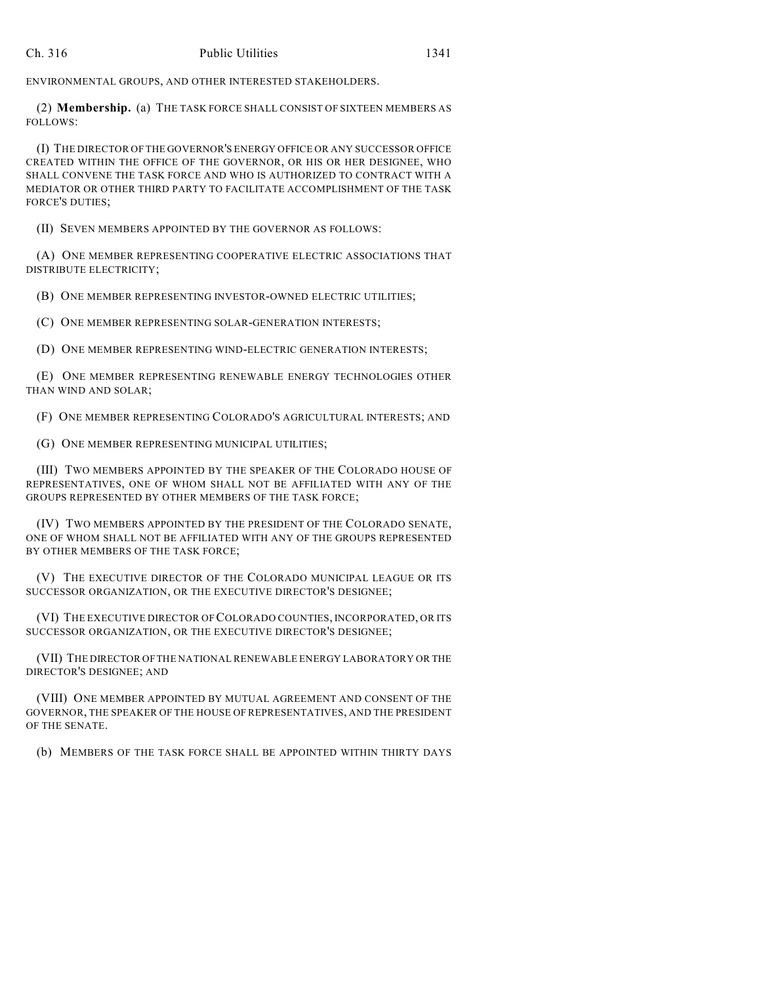ENVIRONMENTAL GROUPS, AND OTHER INTERESTED STAKEHOLDERS.

(2) **Membership.** (a) THE TASK FORCE SHALL CONSIST OF SIXTEEN MEMBERS AS FOLLOWS:

(I) THE DIRECTOR OF THE GOVERNOR'S ENERGY OFFICE OR ANY SUCCESSOR OFFICE CREATED WITHIN THE OFFICE OF THE GOVERNOR, OR HIS OR HER DESIGNEE, WHO SHALL CONVENE THE TASK FORCE AND WHO IS AUTHORIZED TO CONTRACT WITH A MEDIATOR OR OTHER THIRD PARTY TO FACILITATE ACCOMPLISHMENT OF THE TASK FORCE'S DUTIES;

(II) SEVEN MEMBERS APPOINTED BY THE GOVERNOR AS FOLLOWS:

(A) ONE MEMBER REPRESENTING COOPERATIVE ELECTRIC ASSOCIATIONS THAT DISTRIBUTE ELECTRICITY;

(B) ONE MEMBER REPRESENTING INVESTOR-OWNED ELECTRIC UTILITIES;

(C) ONE MEMBER REPRESENTING SOLAR-GENERATION INTERESTS;

(D) ONE MEMBER REPRESENTING WIND-ELECTRIC GENERATION INTERESTS;

(E) ONE MEMBER REPRESENTING RENEWABLE ENERGY TECHNOLOGIES OTHER THAN WIND AND SOLAR;

(F) ONE MEMBER REPRESENTING COLORADO'S AGRICULTURAL INTERESTS; AND

(G) ONE MEMBER REPRESENTING MUNICIPAL UTILITIES;

(III) TWO MEMBERS APPOINTED BY THE SPEAKER OF THE COLORADO HOUSE OF REPRESENTATIVES, ONE OF WHOM SHALL NOT BE AFFILIATED WITH ANY OF THE GROUPS REPRESENTED BY OTHER MEMBERS OF THE TASK FORCE;

(IV) TWO MEMBERS APPOINTED BY THE PRESIDENT OF THE COLORADO SENATE, ONE OF WHOM SHALL NOT BE AFFILIATED WITH ANY OF THE GROUPS REPRESENTED BY OTHER MEMBERS OF THE TASK FORCE;

(V) THE EXECUTIVE DIRECTOR OF THE COLORADO MUNICIPAL LEAGUE OR ITS SUCCESSOR ORGANIZATION, OR THE EXECUTIVE DIRECTOR'S DESIGNEE;

(VI) THE EXECUTIVE DIRECTOR OF COLORADO COUNTIES, INCORPORATED, OR ITS SUCCESSOR ORGANIZATION, OR THE EXECUTIVE DIRECTOR'S DESIGNEE;

(VII) THE DIRECTOR OF THE NATIONAL RENEWABLE ENERGY LABORATORY OR THE DIRECTOR'S DESIGNEE; AND

(VIII) ONE MEMBER APPOINTED BY MUTUAL AGREEMENT AND CONSENT OF THE GOVERNOR, THE SPEAKER OF THE HOUSE OF REPRESENTATIVES, AND THE PRESIDENT OF THE SENATE.

(b) MEMBERS OF THE TASK FORCE SHALL BE APPOINTED WITHIN THIRTY DAYS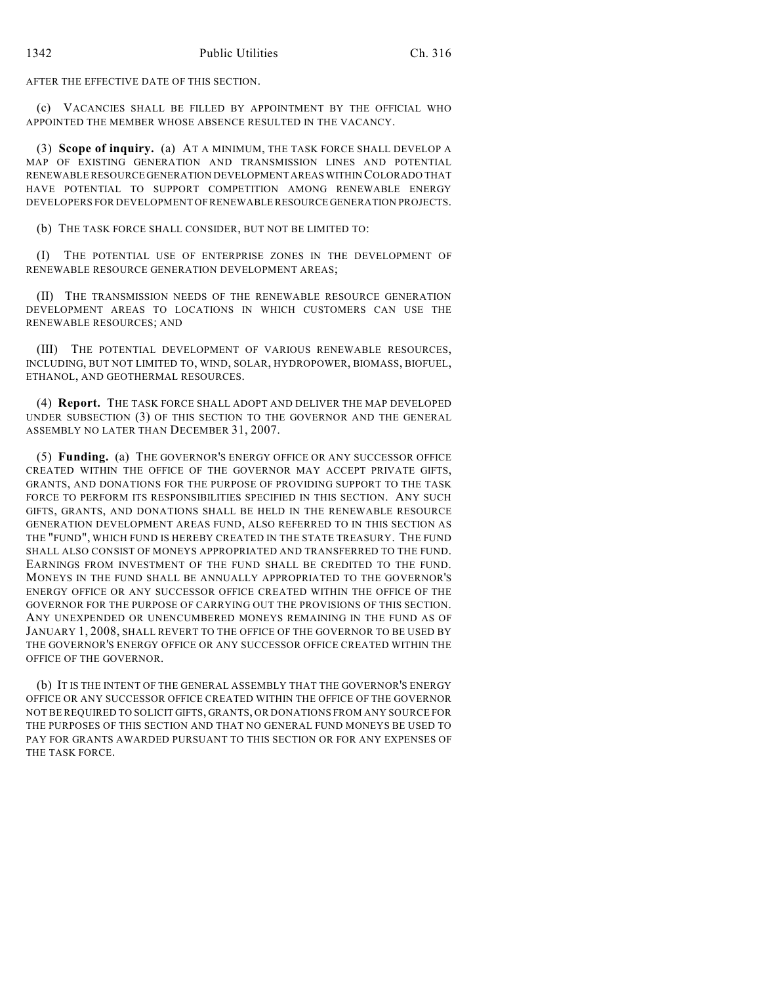AFTER THE EFFECTIVE DATE OF THIS SECTION.

(c) VACANCIES SHALL BE FILLED BY APPOINTMENT BY THE OFFICIAL WHO APPOINTED THE MEMBER WHOSE ABSENCE RESULTED IN THE VACANCY.

(3) **Scope of inquiry.** (a) AT A MINIMUM, THE TASK FORCE SHALL DEVELOP A MAP OF EXISTING GENERATION AND TRANSMISSION LINES AND POTENTIAL RENEWABLE RESOURCE GENERATION DEVELOPMENT AREAS WITHIN COLORADO THAT HAVE POTENTIAL TO SUPPORT COMPETITION AMONG RENEWABLE ENERGY DEVELOPERS FOR DEVELOPMENT OF RENEWABLE RESOURCE GENERATION PROJECTS.

(b) THE TASK FORCE SHALL CONSIDER, BUT NOT BE LIMITED TO:

(I) THE POTENTIAL USE OF ENTERPRISE ZONES IN THE DEVELOPMENT OF RENEWABLE RESOURCE GENERATION DEVELOPMENT AREAS;

(II) THE TRANSMISSION NEEDS OF THE RENEWABLE RESOURCE GENERATION DEVELOPMENT AREAS TO LOCATIONS IN WHICH CUSTOMERS CAN USE THE RENEWABLE RESOURCES; AND

(III) THE POTENTIAL DEVELOPMENT OF VARIOUS RENEWABLE RESOURCES, INCLUDING, BUT NOT LIMITED TO, WIND, SOLAR, HYDROPOWER, BIOMASS, BIOFUEL, ETHANOL, AND GEOTHERMAL RESOURCES.

(4) **Report.** THE TASK FORCE SHALL ADOPT AND DELIVER THE MAP DEVELOPED UNDER SUBSECTION (3) OF THIS SECTION TO THE GOVERNOR AND THE GENERAL ASSEMBLY NO LATER THAN DECEMBER 31, 2007.

(5) **Funding.** (a) THE GOVERNOR'S ENERGY OFFICE OR ANY SUCCESSOR OFFICE CREATED WITHIN THE OFFICE OF THE GOVERNOR MAY ACCEPT PRIVATE GIFTS, GRANTS, AND DONATIONS FOR THE PURPOSE OF PROVIDING SUPPORT TO THE TASK FORCE TO PERFORM ITS RESPONSIBILITIES SPECIFIED IN THIS SECTION. ANY SUCH GIFTS, GRANTS, AND DONATIONS SHALL BE HELD IN THE RENEWABLE RESOURCE GENERATION DEVELOPMENT AREAS FUND, ALSO REFERRED TO IN THIS SECTION AS THE "FUND", WHICH FUND IS HEREBY CREATED IN THE STATE TREASURY. THE FUND SHALL ALSO CONSIST OF MONEYS APPROPRIATED AND TRANSFERRED TO THE FUND. EARNINGS FROM INVESTMENT OF THE FUND SHALL BE CREDITED TO THE FUND. MONEYS IN THE FUND SHALL BE ANNUALLY APPROPRIATED TO THE GOVERNOR'S ENERGY OFFICE OR ANY SUCCESSOR OFFICE CREATED WITHIN THE OFFICE OF THE GOVERNOR FOR THE PURPOSE OF CARRYING OUT THE PROVISIONS OF THIS SECTION. ANY UNEXPENDED OR UNENCUMBERED MONEYS REMAINING IN THE FUND AS OF JANUARY 1, 2008, SHALL REVERT TO THE OFFICE OF THE GOVERNOR TO BE USED BY THE GOVERNOR'S ENERGY OFFICE OR ANY SUCCESSOR OFFICE CREATED WITHIN THE OFFICE OF THE GOVERNOR.

(b) IT IS THE INTENT OF THE GENERAL ASSEMBLY THAT THE GOVERNOR'S ENERGY OFFICE OR ANY SUCCESSOR OFFICE CREATED WITHIN THE OFFICE OF THE GOVERNOR NOT BE REQUIRED TO SOLICIT GIFTS, GRANTS, OR DONATIONS FROM ANY SOURCE FOR THE PURPOSES OF THIS SECTION AND THAT NO GENERAL FUND MONEYS BE USED TO PAY FOR GRANTS AWARDED PURSUANT TO THIS SECTION OR FOR ANY EXPENSES OF THE TASK FORCE.